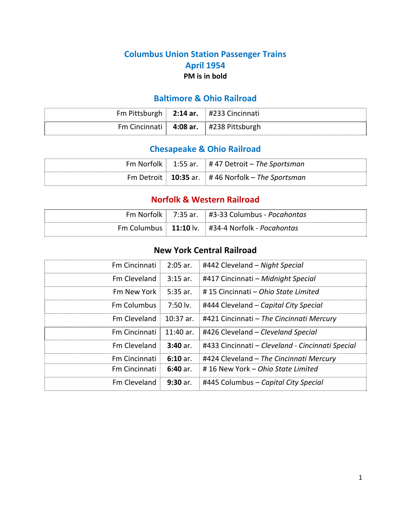## **Columbus Union Station Passenger Trains April 1954 PM is in bold**

## **Baltimore & Ohio Railroad**

| Fm<br>$\sim$ h<br>5" | 2:14 ar. | #233 ل<br> |
|----------------------|----------|------------|
| ີຕາ                  | 4:08 ar. | #2         |

# **Chesapeake & Ohio Railroad**

|  | Fm Norfolk $\vert$ 1:55 ar. $\vert$ # 47 Detroit - The Sportsman |
|--|------------------------------------------------------------------|
|  | Fm Detroit   10:35 ar.   #46 Norfolk – The Sportsman             |

## **Norfolk & Western Railroad**

|  | Fm Norfolk $\vert$ 7:35 ar. $\vert$ #3-33 Columbus - Pocahontas         |
|--|-------------------------------------------------------------------------|
|  | Fm Columbus $\vert$ 11:10 lv. $\vert$ #34-4 Norfolk - <i>Pocahontas</i> |

## **New York Central Railroad**

| Fm Cincinnati        | $2:05$ ar. | #442 Cleveland - Night Special                   |
|----------------------|------------|--------------------------------------------------|
| Fm Cleveland         | $3:15$ ar. | #417 Cincinnati - Midnight Special               |
| Fm New York          | $5:35$ ar. | #15 Cincinnati – Ohio State Limited              |
| <b>Fm Columbus</b>   | 7:50 lv.   | #444 Cleveland – Capital City Special            |
| Fm Cleveland         | 10:37 ar.  | #421 Cincinnati - The Cincinnati Mercury         |
| Fm Cincinnati        | 11:40 ar.  | #426 Cleveland - Cleveland Special               |
| Fm Cleveland         | $3:40$ ar. | #433 Cincinnati - Cleveland - Cincinnati Special |
| <b>Fm Cincinnati</b> | $6:10$ ar. | #424 Cleveland - The Cincinnati Mercury          |
| <b>Fm Cincinnati</b> | $6:40$ ar. | #16 New York - Ohio State Limited                |
| Fm Cleveland         | $9:30$ ar. | #445 Columbus - Capital City Special             |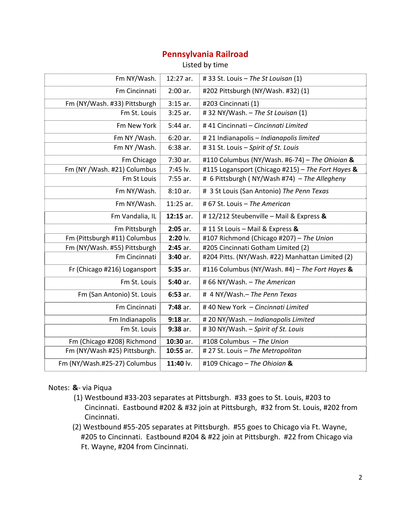## **Pennsylvania Railroad**

Listed by time

| Fm NY/Wash.                  | 12:27 ar.   | # 33 St. Louis - The St Louisan (1)               |
|------------------------------|-------------|---------------------------------------------------|
| Fm Cincinnati                | $2:00$ ar.  | #202 Pittsburgh (NY/Wash. #32) (1)                |
| Fm (NY/Wash. #33) Pittsburgh | $3:15$ ar.  | #203 Cincinnati (1)                               |
| Fm St. Louis                 | $3:25$ ar.  | #32 NY/Wash. - The St Louisan (1)                 |
| Fm New York                  | $5:44$ ar.  | #41 Cincinnati - Cincinnati Limited               |
| Fm NY /Wash.                 | $6:20$ ar.  | #21 Indianapolis - Indianapolis limited           |
| Fm NY /Wash.                 | 6:38 ar.    | #31 St. Louis - Spirit of St. Louis               |
| Fm Chicago                   | 7:30 ar.    | #110 Columbus (NY/Wash. #6-74) - The Ohioian &    |
| Fm (NY /Wash. #21) Columbus  | 7:45 lv.    | #115 Logansport (Chicago #215) - The Fort Hayes & |
| Fm St Louis                  | $7:55$ ar.  | # 6 Pittsburgh (NY/Wash #74) - The Allegheny      |
| Fm NY/Wash.                  | $8:10$ ar.  | # 3 St Louis (San Antonio) The Penn Texas         |
| Fm NY/Wash.                  | $11:25$ ar. | # 67 St. Louis - The American                     |
| Fm Vandalia, IL              | 12:15 ar.   | #12/212 Steubenville - Mail & Express &           |
| Fm Pittsburgh                | $2:05$ ar.  | #11 St Louis - Mail & Express &                   |
| Fm (Pittsburgh #11) Columbus | $2:20$ lv.  | #107 Richmond (Chicago #207) - The Union          |
| Fm (NY/Wash. #55) Pittsburgh | 2:45 ar.    | #205 Cincinnati Gotham Limited (2)                |
| Fm Cincinnati                | $3:40$ ar.  | #204 Pitts. (NY/Wash. #22) Manhattan Limited (2)  |
| Fr (Chicago #216) Logansport | 5:35 ar.    | #116 Columbus (NY/Wash. #4) - The Fort Hayes &    |
| Fm St. Louis                 | $5:40$ ar.  | #66 NY/Wash. - The American                       |
| Fm (San Antonio) St. Louis   | $6:53$ ar.  | # 4 NY/Wash.- The Penn Texas                      |
| Fm Cincinnati                | 7:48 ar.    | #40 New York - Cincinnati Limited                 |
| Fm Indianapolis              | $9:18$ ar.  | #20 NY/Wash. - Indianapolis Limited               |
| Fm St. Louis                 | $9:38$ ar.  | #30 NY/Wash. - Spirit of St. Louis                |
| Fm (Chicago #208) Richmond   | 10:30 ar.   | #108 Columbus - The Union                         |
| Fm (NY/Wash #25) Pittsburgh. | 10:55 ar.   | # 27 St. Louis - The Metropolitan                 |
| Fm (NY/Wash.#25-27) Columbus | 11:40 lv.   | #109 Chicago - The Ohioian &                      |

#### Notes: **&**‐ via Piqua

- (1) Westbound #33‐203 separates at Pittsburgh. #33 goes to St. Louis, #203 to Cincinnati. Eastbound #202 & #32 join at Pittsburgh, #32 from St. Louis, #202 from Cincinnati.
- (2) Westbound #55‐205 separates at Pittsburgh. #55 goes to Chicago via Ft. Wayne, #205 to Cincinnati. Eastbound #204 & #22 join at Pittsburgh. #22 from Chicago via Ft. Wayne, #204 from Cincinnati.